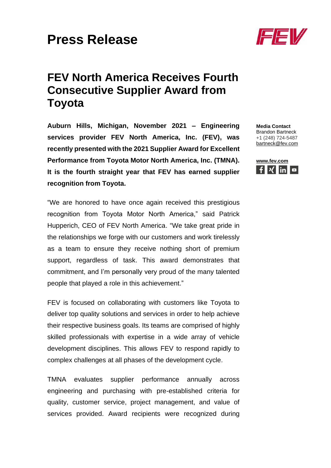## **Press Release**

## **FEV North America Receives Fourth Consecutive Supplier Award from Toyota**

**Auburn Hills, Michigan, November 2021 – Engineering services provider FEV North America, Inc. (FEV), was recently presented with the 2021 Supplier Award for Excellent Performance from Toyota Motor North America, Inc. (TMNA). It is the fourth straight year that FEV has earned supplier recognition from Toyota.**

"We are honored to have once again received this prestigious recognition from Toyota Motor North America," said Patrick Hupperich, CEO of FEV North America. "We take great pride in the relationships we forge with our customers and work tirelessly as a team to ensure they receive nothing short of premium support, regardless of task. This award demonstrates that commitment, and I'm personally very proud of the many talented people that played a role in this achievement."

FEV is focused on collaborating with customers like Toyota to deliver top quality solutions and services in order to help achieve their respective business goals. Its teams are comprised of highly skilled professionals with expertise in a wide array of vehicle development disciplines. This allows FEV to respond rapidly to complex challenges at all phases of the development cycle.

TMNA evaluates supplier performance annually across engineering and purchasing with pre-established criteria for quality, customer service, project management, and value of services provided. Award recipients were recognized during



**Media Contact** Brandon Bartneck +1 (248) 724-5487 [bartneck@fev.com](mailto:bartneck@fev.com)